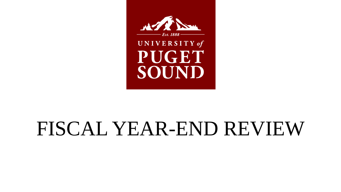

# FISCAL YEAR-END REVIEW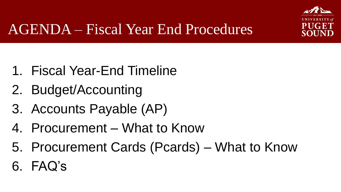

# AGENDA – Fiscal Year End Procedures

- 1. Fiscal Year-End Timeline
- 2. Budget/Accounting
- 3. Accounts Payable (AP)
- 4. Procurement What to Know
- 5. Procurement Cards (Pcards) What to Know
- 6. FAQ's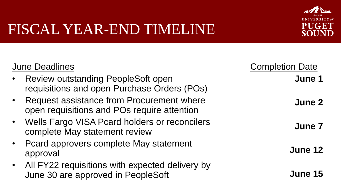

| <b>June Deadlines</b>                                                                      | <b>Completion Date</b> |
|--------------------------------------------------------------------------------------------|------------------------|
| <b>Review outstanding PeopleSoft open</b><br>requisitions and open Purchase Orders (POs)   | June 1                 |
| • Request assistance from Procurement where<br>open requisitions and POs require attention | June 2                 |
| • Wells Fargo VISA Pcard holders or reconcilers<br>complete May statement review           | June 7                 |
| • Peard approvers complete May statement<br>approval                                       | June 12                |
| • All FY22 requisitions with expected delivery by<br>June 30 are approved in PeopleSoft    | June 15                |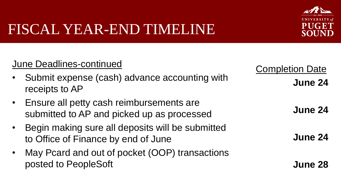

#### June Deadlines-continued

- Submit expense (cash) advance accounting with receipts to AP
- Ensure all petty cash reimbursements are submitted to AP and picked up as processed
- Begin making sure all deposits will be submitted to Office of Finance by end of June
- May Pcard and out of pocket (OOP) transactions posted to PeopleSoft

Completion Date **June 24**

**June 24**

**June 24**

**June 28**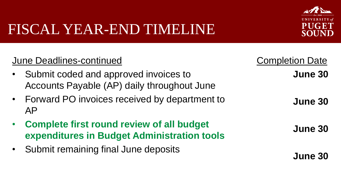

| <b>June Deadlines-continued</b>                                                                 | <b>Completion Date</b> |
|-------------------------------------------------------------------------------------------------|------------------------|
| Submit coded and approved invoices to<br>Accounts Payable (AP) daily throughout June            | June 30                |
| • Forward PO invoices received by department to<br>AP                                           | June 30                |
| <b>Complete first round review of all budget</b><br>expenditures in Budget Administration tools | June 30                |
| Submit remaining final June deposits                                                            | June 30                |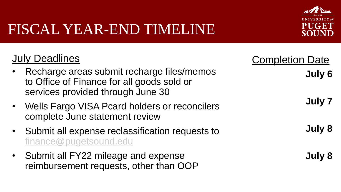

## July Deadlines

- Recharge areas submit recharge files/memos to Office of Finance for all goods sold or services provided through June 30
- Wells Fargo VISA Pcard holders or reconcilers complete June statement review
- Submit all expense reclassification requests to [finance@pugetsound.edu](mailto:finance@pugetsound.edu)
- Submit all FY22 mileage and expense reimbursement requests, other than OOP

| <b>Completion Date</b> |  |
|------------------------|--|
| July 6                 |  |
|                        |  |
| July 7                 |  |
|                        |  |
| July 8                 |  |
|                        |  |
| July 8                 |  |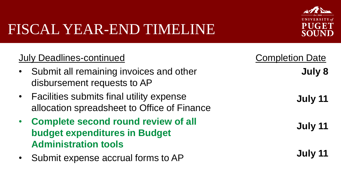

| <b>July Deadlines-continued</b>                                                                              | <b>Completion Date</b> |
|--------------------------------------------------------------------------------------------------------------|------------------------|
| Submit all remaining invoices and other<br>disbursement requests to AP                                       | July 8                 |
| • Facilities submits final utility expense<br>allocation spreadsheet to Office of Finance                    | July 11                |
| • Complete second round review of all<br><b>budget expenditures in Budget</b><br><b>Administration tools</b> | July 11                |
| Submit expense accrual forms to AP                                                                           | July 11                |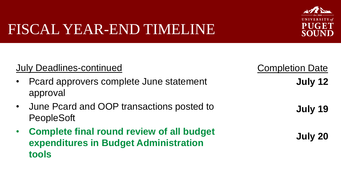**tools**



#### July Deadlines-continued • Pcard approvers complete June statement approval • June Pcard and OOP transactions posted to PeopleSoft • **Complete final round review of all budget expenditures in Budget Administration Completion Date July 12 July 19 July 20**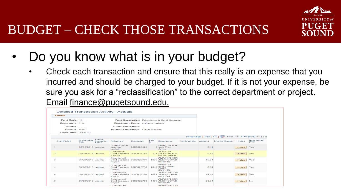

- Do you know what is in your budget?
	- Check each transaction and ensure that this really is an expense that you incurred and should be charged to your budget. If it is not your expense, be sure you ask for a "reclassification" to the correct department or project. Email finance@pugetsound.edu.

|                              | <b>Details</b>                |                           |                                            |                                                 |                 |                    |                                                             |                     |        |                                                        |              |                            |
|------------------------------|-------------------------------|---------------------------|--------------------------------------------|-------------------------------------------------|-----------------|--------------------|-------------------------------------------------------------|---------------------|--------|--------------------------------------------------------|--------------|----------------------------|
|                              | Fund Code: 10                 |                           |                                            |                                                 |                 |                    | Fund Description: Educational & Genrl Operating             |                     |        |                                                        |              |                            |
| Department: 7101<br>Project: |                               |                           | <b>Department Descr:</b> Office of Finance |                                                 |                 |                    |                                                             |                     |        |                                                        |              |                            |
|                              |                               |                           |                                            | <b>Project Description:</b>                     |                 |                    |                                                             |                     |        |                                                        |              |                            |
|                              | <b>Account: 61015</b>         |                           |                                            | <b>Account Description: Office Supplies</b>     |                 |                    |                                                             |                     |        |                                                        |              |                            |
|                              | <b>Actual Total: 2,627.19</b> |                           |                                            |                                                 |                 |                    |                                                             |                     |        |                                                        |              |                            |
|                              |                               |                           |                                            |                                                 |                 |                    |                                                             |                     |        | Personalize   Find   2       First 4 1-76 of 76   Last |              |                            |
|                              | <b>ChartField1</b>            | <b>Accounting</b><br>Date | Source<br><b>Document</b><br><b>Name</b>   | Reference                                       | <b>Document</b> | Line<br><b>Let</b> | <b>Description</b>                                          | <b>Remit Vendor</b> | Amount | <b>Invoice Number</b>                                  | <b>Notes</b> | <b>Note Status</b><br>CY/N |
|                              |                               | 08/31/2016 Journal        |                                            | Correct coding<br>error on<br>bookst            | 0000026429      |                    | <b>Bkstr: Packing</b><br>1 tape Proc<br><b>Srvcs</b>        |                     | 5.44   |                                                        | <b>Notes</b> | Yes                        |
| $\overline{a}$               |                               | 09/28/2016 Journal        |                                            | Commerial<br>Card Expense 0000026755<br>Reporti |                 |                    | <b>AMAZON</b><br>124 MKTPLACE P<br>08/16 UseTax             |                     | 0.67   |                                                        | <b>Notes</b> | Yes                        |
| 3                            |                               | 09/28/2016 Journal        |                                            | Commerical<br>Card Expense 0000026756<br>Report |                 |                    | AMAZON COM<br>1039 AMZN.COM/B<br>08/10/16                   |                     | 15.54  |                                                        | <b>Notes</b> | Yes                        |
| 4                            |                               | 09/28/2016 Journal        |                                            | Commerical<br>Card Expense 0000026756<br>Report |                 | 1040               | <b>AMAZON</b><br><b>MKTPLACE</b><br><b>PMTS</b><br>08/11/16 |                     | 6.94   |                                                        | <b>Notes</b> | Yes                        |
| 5                            |                               | 09/28/2016 Journal        |                                            | Commerical<br>Card Expense 0000026756<br>Report |                 |                    | AMAZON.COM<br>1041 AMZN.COM/B<br>08/11/16                   |                     | 14.62  |                                                        | <b>Notes</b> | Yes                        |
| 6                            |                               | 09/28/2016 Journal        |                                            | Commerical<br>Card Expense 0000026756<br>Report |                 |                    | AMAZON.COM<br>1485 AMZN.COM/B<br>08/18/16                   |                     | 60.04  |                                                        | <b>Notes</b> | <b>No</b>                  |
|                              |                               |                           |                                            | Commercial                                      |                 |                    | AMAZON.COM                                                  |                     |        |                                                        |              |                            |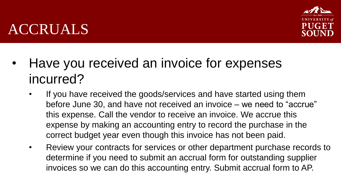# ACCRUALS

- Have you received an invoice for expenses incurred?
	- If you have received the goods/services and have started using them before June 30, and have not received an invoice – we need to "accrue" this expense. Call the vendor to receive an invoice. We accrue this expense by making an accounting entry to record the purchase in the correct budget year even though this invoice has not been paid.
	- Review your contracts for services or other department purchase records to determine if you need to submit an accrual form for outstanding supplier invoices so we can do this accounting entry. Submit accrual form to AP.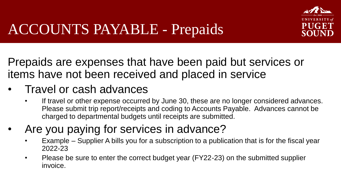

# ACCOUNTS PAYABLE - Prepaids

Prepaids are expenses that have been paid but services or items have not been received and placed in service

### • Travel or cash advances

- If travel or other expense occurred by June 30, these are no longer considered advances. Please submit trip report/receipts and coding to Accounts Payable. Advances cannot be charged to departmental budgets until receipts are submitted.
- Are you paying for services in advance?
	- Example Supplier A bills you for a subscription to a publication that is for the fiscal year 2022-23
	- Please be sure to enter the correct budget year (FY22-23) on the submitted supplier invoice.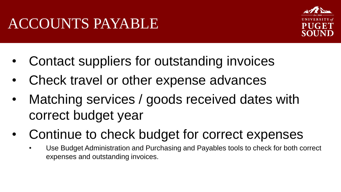# ACCOUNTS PAYABLE



- Contact suppliers for outstanding invoices
- Check travel or other expense advances
- Matching services / goods received dates with correct budget year
- Continue to check budget for correct expenses
	- Use Budget Administration and Purchasing and Payables tools to check for both correct expenses and outstanding invoices.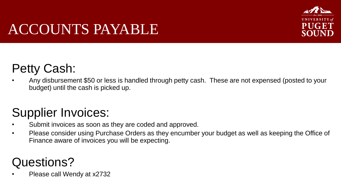# SOUN

# ACCOUNTS PAYABLE

# Petty Cash:

• Any disbursement \$50 or less is handled through petty cash. These are not expensed (posted to your budget) until the cash is picked up.

# Supplier Invoices:

- Submit invoices as soon as they are coded and approved.
- Please consider using Purchase Orders as they encumber your budget as well as keeping the Office of Finance aware of invoices you will be expecting.

# Questions?

• Please call Wendy at x2732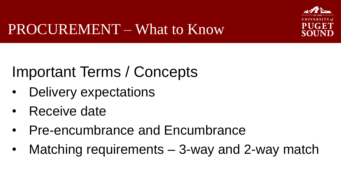

# PROCUREMENT – What to Know

# Important Terms / Concepts

- Delivery expectations
- Receive date
- Pre-encumbrance and Encumbrance
- Matching requirements 3-way and 2-way match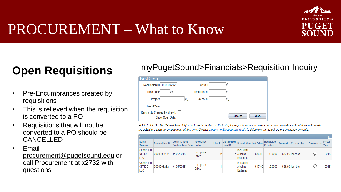

# PROCUREMENT – What to Know

- Pre-Encumbrances created by requisitions
- This is relieved when the requisition is converted to a PO
- Requisitions that will not be converted to a PO should be CANCELLED
- **Email** procurement@pugetsound.edu or call Procurement at x2732 with questions

# **Open Requisitions** myPugetSound>Financials>Requisition Inquiry

| Search Criteria                                   |                   |                 |
|---------------------------------------------------|-------------------|-----------------|
| <b>Requisition ID 0000005252</b>                  | <b>Vendor</b>     |                 |
| <b>Fund Code</b>                                  | <b>Department</b> |                 |
| Project                                           | <b>Account</b>    |                 |
| <b>Fiscal Year</b>                                |                   |                 |
| Restrict to Created by Myself:<br>Show Open Only: |                   | Search<br>Clear |

PLEASE NOTE: The "Show Open Only" checkbox limits the results to display requisitions where pre-encumbrance amounts exist but does not provide the actual pre-encumbrance amount at this time. Contact procurement@pugetsound.edu to determine the actual pre-encumbrance amounts.

|                                                |                       |                                        |                    |         |                                |                                        |         |                                |               |                   |                 | Per                   |
|------------------------------------------------|-----------------------|----------------------------------------|--------------------|---------|--------------------------------|----------------------------------------|---------|--------------------------------|---------------|-------------------|-----------------|-----------------------|
| Remit<br>Vendor                                | <b>Requisition ID</b> | Commitment<br><b>Control Tran Date</b> | Reference<br>Code  | Line Id | <b>Distribution</b><br>Line ID | <b>Description Unit Price</b>          |         | <b>Requisition</b><br>Quantity | <b>Amount</b> | <b>Created By</b> | <b>Comments</b> | <b>Fiscal</b><br>Year |
| <b>COMPLETE</b><br><b>OFFICE</b><br><b>LLC</b> | 0000005252            | 01/05/2015                             | Complete<br>Office | $\sim$  |                                | Industrial<br>Alkaline<br>Batteries.   | \$16.83 | 2.0000                         |               | \$33.66 Iberitich |                 | 2015                  |
| <b>COMPLETE</b><br><b>OFFICE</b><br><b>LLC</b> | 0000005252            | 01/05/2015                             | Complete<br>Office |         |                                | Industrial<br>1 Alkaline<br>Batteries. | \$17.90 | 2.0000                         |               | \$35.80 Iberitich |                 | 2015                  |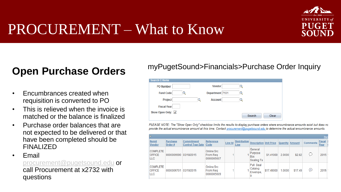

# PROCUREMENT – What to Know

#### **Open Purchase Orders**

- Encumbrances created when requisition is converted to PO
- This is relieved when the invoice is matched or the balance is finalized
- Purchase order balances that are not expected to be delivered or that have been completed should be FINALIZED

• Email

[procurement@pugetsound.edu](mailto:procurement@pugetsound.edu) or call Procurement at x2732 with questions

#### myPugetSound>Financials>Purchase Order Inquiry

| <b>Search Criteria</b> |                 |                 |
|------------------------|-----------------|-----------------|
| <b>PO Number</b>       | <b>Vendor</b>   |                 |
| <b>Fund Code</b>       | Department 7101 |                 |
| Project                | <b>Account</b>  |                 |
| <b>Fiscal Year</b>     |                 |                 |
| Show Open Only: √      |                 | Search<br>Clear |

PLEASE NOTE: The "Show Open Only" checkbox limits the results to display purchase orders where encumbrance amounts exist but does no provide the actual encumbrance amount at this time. Contact procurement@pugetsound.edu to determine the actual encumbrance amounts.

|                                                | Pers                      |                                        |                                             |         |                             |                                                |            |          |         |                 |                       |  |
|------------------------------------------------|---------------------------|----------------------------------------|---------------------------------------------|---------|-----------------------------|------------------------------------------------|------------|----------|---------|-----------------|-----------------------|--|
| Remit<br>Vendor                                | <b>Purchase</b><br>Order# | Commitment<br><b>Control Tran Date</b> | Reference<br>Code                           | Line Id | <b>Distribution</b><br>Line | <b>Description Unit Price</b>                  |            | Quantity | Amount  | <b>Comments</b> | <b>Fiscal</b><br>Year |  |
| <b>COMPLETE</b><br><b>OFFICE</b><br><b>LLC</b> | 0000006690                | 03/18/2015                             | Online Src<br><b>From Reg</b><br>0000005607 |         |                             | General<br>Purpose<br><b>Box</b><br>Sealing Ta | \$1.41000  | 2.0000   | \$2.82  | ╰               | 2015                  |  |
| <b>COMPLETE</b><br><b>OFFICE</b><br><b>LLC</b> | 0000006701                | 03/19/2015                             | Online Src<br>From Reg<br>0000005609        |         |                             | Pull Seal<br>Catalog<br>Envelope,<br>9         | \$17,49000 | 1.0000   | \$17.49 | ⊜               | 2015                  |  |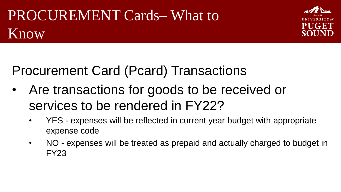# PROCUREMENT Cards– What to Know



# Procurement Card (Pcard) Transactions

- Are transactions for goods to be received or services to be rendered in FY22?
	- YES expenses will be reflected in current year budget with appropriate expense code
	- NO expenses will be treated as prepaid and actually charged to budget in FY23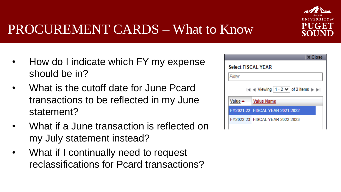

# PROCUREMENT CARDS – What to Know

- How do I indicate which FY my expense should be in?
- What is the cutoff date for June Pcard transactions to be reflected in my June statement?
- What if a June transaction is reflected on my July statement instead?
- What if I continually need to request reclassifications for Pcard transactions?

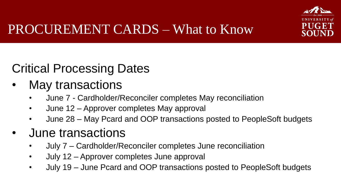

# Critical Processing Dates

- May transactions
	- June 7 Cardholder/Reconciler completes May reconciliation
	- June 12 Approver completes May approval
	- June 28 May Pcard and OOP transactions posted to PeopleSoft budgets
- June transactions
	- July 7 Cardholder/Reconciler completes June reconciliation
	- July 12 Approver completes June approval
	- July 19 June Pcard and OOP transactions posted to PeopleSoft budgets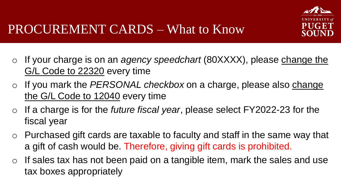

- o If your charge is on an *agency speedchart* (80XXXX), please change the G/L Code to 22320 every time
- o If you mark the *PERSONAL checkbox* on a charge, please also change the G/L Code to 12040 every time
- o If a charge is for the *future fiscal year*, please select FY2022-23 for the fiscal year
- o Purchased gift cards are taxable to faculty and staff in the same way that a gift of cash would be. Therefore, giving gift cards is prohibited.
- $\circ$  If sales tax has not been paid on a tangible item, mark the sales and use tax boxes appropriately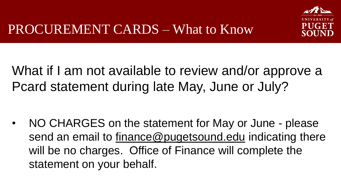

# What if I am not available to review and/or approve a Pcard statement during late May, June or July?

• NO CHARGES on the statement for May or June - please send an email to finance@pugetsound.edu indicating there will be no charges. Office of Finance will complete the statement on your behalf.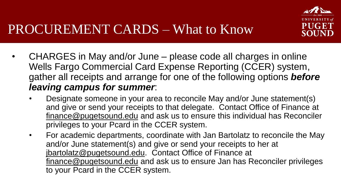

- CHARGES in May and/or June please code all charges in online Wells Fargo Commercial Card Expense Reporting (CCER) system, gather all receipts and arrange for one of the following options *before leaving campus for summer*:
	- Designate someone in your area to reconcile May and/or June statement(s) and give or send your receipts to that delegate. Contact Office of Finance at finance@pugetsound.edu and ask us to ensure this individual has Reconciler privileges to your Pcard in the CCER system.
	- For academic departments, coordinate with Jan Bartolatz to reconcile the May and/or June statement(s) and give or send your receipts to her at jbartolatz@pugetsound.edu. Contact Office of Finance at finance@pugetsound.edu and ask us to ensure Jan has Reconciler privileges to your Pcard in the CCER system.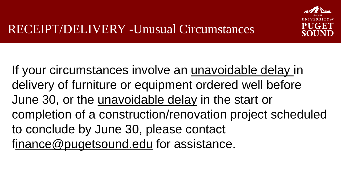

If your circumstances involve an unavoidable delay in delivery of furniture or equipment ordered well before June 30, or the unavoidable delay in the start or completion of a construction/renovation project scheduled to conclude by June 30, please contact finance@pugetsound.edu for assistance.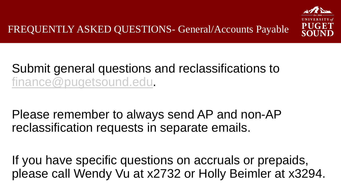

# Submit general questions and reclassifications to [finance@pugetsound.edu.](mailto:finance@pugetsound.edu)

Please remember to always send AP and non-AP reclassification requests in separate emails.

If you have specific questions on accruals or prepaids, please call Wendy Vu at x2732 or Holly Beimler at x3294.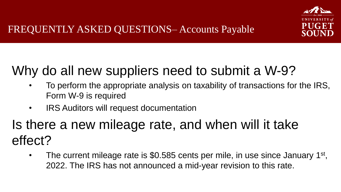

# Why do all new suppliers need to submit a W-9?

- To perform the appropriate analysis on taxability of transactions for the IRS, Form W-9 is required
- IRS Auditors will request documentation

# Is there a new mileage rate, and when will it take effect?

• The current mileage rate is \$0.585 cents per mile, in use since January  $1<sup>st</sup>$ , 2022. The IRS has not announced a mid-year revision to this rate.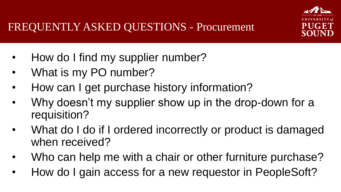

- How do I find my supplier number?
- What is my PO number?
- How can I get purchase history information?
- Why doesn't my supplier show up in the drop-down for a requisition?
- What do I do if I ordered incorrectly or product is damaged when received?
- Who can help me with a chair or other furniture purchase?
- How do I gain access for a new requestor in PeopleSoft?